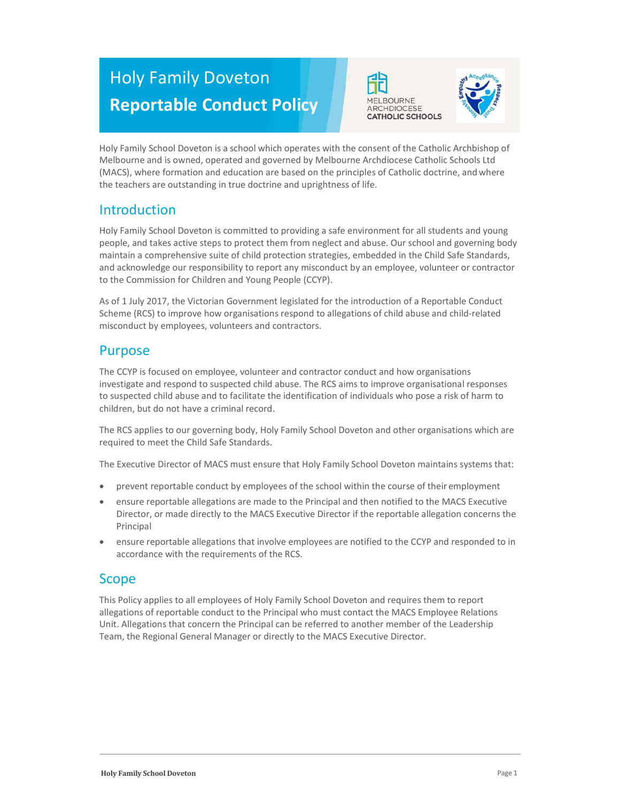# Holy Family Doveton Reportable Conduct Policy





Holy Family School Doveton is a school which operates with the consent of the Catholic Archbishop of Melbourne and is owned, operated and governed by Melbourne Archdiocese Catholic Schools Ltd (MACS), where formation and education are based on the principles of Catholic doctrine, and where the teachers are outstanding in true doctrine and uprightness of life.

# Introduction

Holy Family School Doveton is committed to providing a safe environment for all students and young people, and takes active steps to protect them from neglect and abuse. Our school and governing body maintain a comprehensive suite of child protection strategies, embedded in the Child Safe Standards, and acknowledge our responsibility to report any misconduct by an employee, volunteer or contractor to the Commission for Children and Young People (CCYP).

As of 1 July 2017, the Victorian Government legislated for the introduction of a Reportable Conduct Scheme (RCS) to improve how organisations respond to allegations of child abuse and child-related misconduct by employees, volunteers and contractors.

# Purpose

The CCYP is focused on employee, volunteer and contractor conduct and how organisations investigate and respond to suspected child abuse. The RCS aims to improve organisational responses to suspected child abuse and to facilitate the identification of individuals who pose a risk of harm to children, but do not have a criminal record.

The RCS applies to our governing body, Holy Family School Doveton and other organisations which are required to meet the Child Safe Standards.

The Executive Director of MACS must ensure that Holy Family School Doveton maintains systems that:

- prevent reportable conduct by employees of the school within the course of their employment
- ensure reportable allegations are made to the Principal and then notified to the MACS Executive Director, or made directly to the MACS Executive Director if the reportable allegation concerns the Principal
- ensure reportable allegations that involve employees are notified to the CCYP and responded to in accordance with the requirements of the RCS.

# Scope

This Policy applies to all employees of Holy Family School Doveton and requires them to report allegations of reportable conduct to the Principal who must contact the MACS Employee Relations Unit. Allegations that concern the Principal can be referred to another member of the Leadership Team, the Regional General Manager or directly to the MACS Executive Director.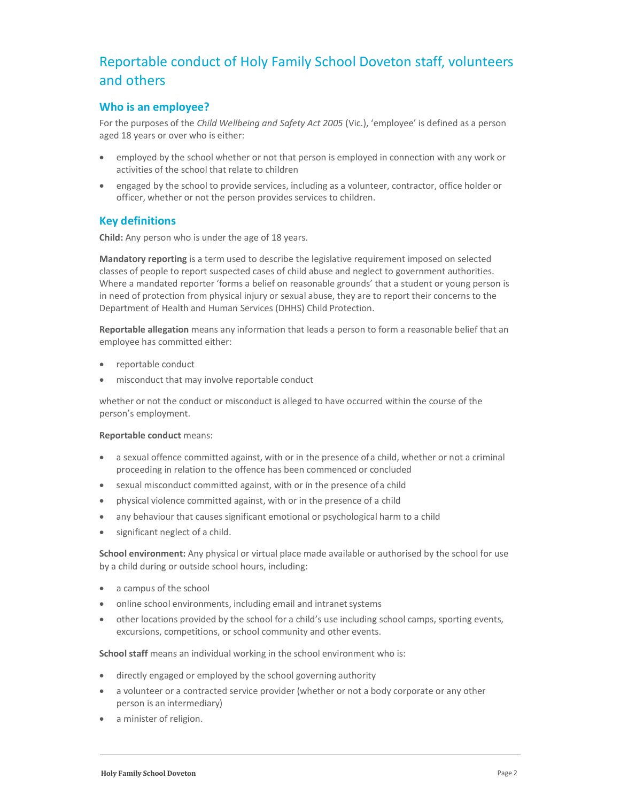# Reportable conduct of Holy Family School Doveton staff, volunteers and others

# Who is an employee?

For the purposes of the Child Wellbeing and Safety Act 2005 (Vic.), 'employee' is defined as a person aged 18 years or over who is either:

- employed by the school whether or not that person is employed in connection with any work or activities of the school that relate to children
- engaged by the school to provide services, including as a volunteer, contractor, office holder or officer, whether or not the person provides services to children.

### Key definitions

Child: Any person who is under the age of 18 years.

Mandatory reporting is a term used to describe the legislative requirement imposed on selected classes of people to report suspected cases of child abuse and neglect to government authorities. Where a mandated reporter 'forms a belief on reasonable grounds' that a student or young person is in need of protection from physical injury or sexual abuse, they are to report their concerns to the Department of Health and Human Services (DHHS) Child Protection.

Reportable allegation means any information that leads a person to form a reasonable belief that an employee has committed either:

- reportable conduct
- misconduct that may involve reportable conduct

whether or not the conduct or misconduct is alleged to have occurred within the course of the person's employment.

#### Reportable conduct means:

- a sexual offence committed against, with or in the presence of a child, whether or not a criminal proceeding in relation to the offence has been commenced or concluded
- sexual misconduct committed against, with or in the presence of a child
- physical violence committed against, with or in the presence of a child
- any behaviour that causes significant emotional or psychological harm to a child
- significant neglect of a child.

School environment: Any physical or virtual place made available or authorised by the school for use by a child during or outside school hours, including:

- a campus of the school
- online school environments, including email and intranet systems
- other locations provided by the school for a child's use including school camps, sporting events, excursions, competitions, or school community and other events.

School staff means an individual working in the school environment who is:

- directly engaged or employed by the school governing authority
- a volunteer or a contracted service provider (whether or not a body corporate or any other person is an intermediary)
- a minister of religion.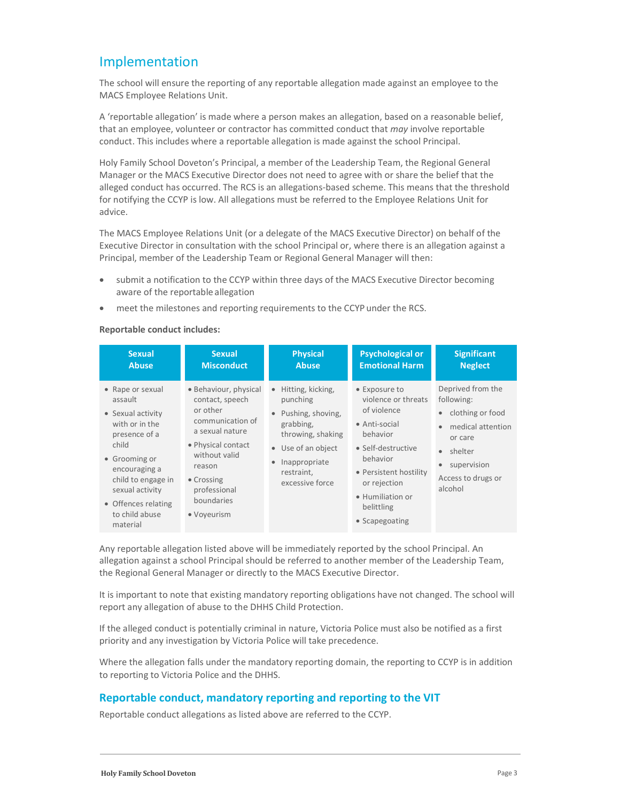# Implementation

The school will ensure the reporting of any reportable allegation made against an employee to the MACS Employee Relations Unit.

A 'reportable allegation' is made where a person makes an allegation, based on a reasonable belief, that an employee, volunteer or contractor has committed conduct that may involve reportable conduct. This includes where a reportable allegation is made against the school Principal.

Holy Family School Doveton's Principal, a member of the Leadership Team, the Regional General Manager or the MACS Executive Director does not need to agree with or share the belief that the alleged conduct has occurred. The RCS is an allegations-based scheme. This means that the threshold for notifying the CCYP is low. All allegations must be referred to the Employee Relations Unit for advice.

The MACS Employee Relations Unit (or a delegate of the MACS Executive Director) on behalf of the Executive Director in consultation with the school Principal or, where there is an allegation against a Principal, member of the Leadership Team or Regional General Manager will then:

- submit a notification to the CCYP within three days of the MACS Executive Director becoming aware of the reportable allegation
- meet the milestones and reporting requirements to the CCYP under the RCS.

#### Reportable conduct includes:

| <b>Sexual</b>                                                                                                                                                                                                                | <b>Sexual</b>                                                                                                                                                                                           | <b>Physical</b>                                                                                                                                                                                     | <b>Psychological or</b>                                                                                                                                                                                          | <b>Significant</b>                                                                                                                                                                                    |
|------------------------------------------------------------------------------------------------------------------------------------------------------------------------------------------------------------------------------|---------------------------------------------------------------------------------------------------------------------------------------------------------------------------------------------------------|-----------------------------------------------------------------------------------------------------------------------------------------------------------------------------------------------------|------------------------------------------------------------------------------------------------------------------------------------------------------------------------------------------------------------------|-------------------------------------------------------------------------------------------------------------------------------------------------------------------------------------------------------|
| <b>Abuse</b>                                                                                                                                                                                                                 | <b>Misconduct</b>                                                                                                                                                                                       | <b>Abuse</b>                                                                                                                                                                                        | <b>Emotional Harm</b>                                                                                                                                                                                            | <b>Neglect</b>                                                                                                                                                                                        |
| • Rape or sexual<br>assault<br>• Sexual activity<br>with or in the<br>presence of a<br>child<br>• Grooming or<br>encouraging a<br>child to engage in<br>sexual activity<br>• Offences relating<br>to child abuse<br>material | · Behaviour, physical<br>contact, speech<br>or other<br>communication of<br>a sexual nature<br>• Physical contact<br>without valid<br>reason<br>• Crossing<br>professional<br>boundaries<br>• Voyeurism | Hitting, kicking,<br>$\bullet$<br>punching<br>Pushing, shoving,<br>$\bullet$<br>grabbing,<br>throwing, shaking<br>• Use of an object<br>Inappropriate<br>$\bullet$<br>restraint,<br>excessive force | • Exposure to<br>violence or threats<br>of violence<br>• Anti-social<br>behavior<br>• Self-destructive<br>behavior<br>• Persistent hostility<br>or rejection<br>• Humiliation or<br>belittling<br>• Scapegoating | Deprived from the<br>following:<br>clothing or food<br>$\bullet$<br>medical attention<br>$\bullet$<br>or care<br>• shelter<br>supervision<br>$\qquad \qquad \bullet$<br>Access to drugs or<br>alcohol |

Any reportable allegation listed above will be immediately reported by the school Principal. An allegation against a school Principal should be referred to another member of the Leadership Team, the Regional General Manager or directly to the MACS Executive Director.

It is important to note that existing mandatory reporting obligations have not changed. The school will report any allegation of abuse to the DHHS Child Protection.

If the alleged conduct is potentially criminal in nature, Victoria Police must also be notified as a first priority and any investigation by Victoria Police will take precedence.

Where the allegation falls under the mandatory reporting domain, the reporting to CCYP is in addition to reporting to Victoria Police and the DHHS.

### Reportable conduct, mandatory reporting and reporting to the VIT

Reportable conduct allegations as listed above are referred to the CCYP.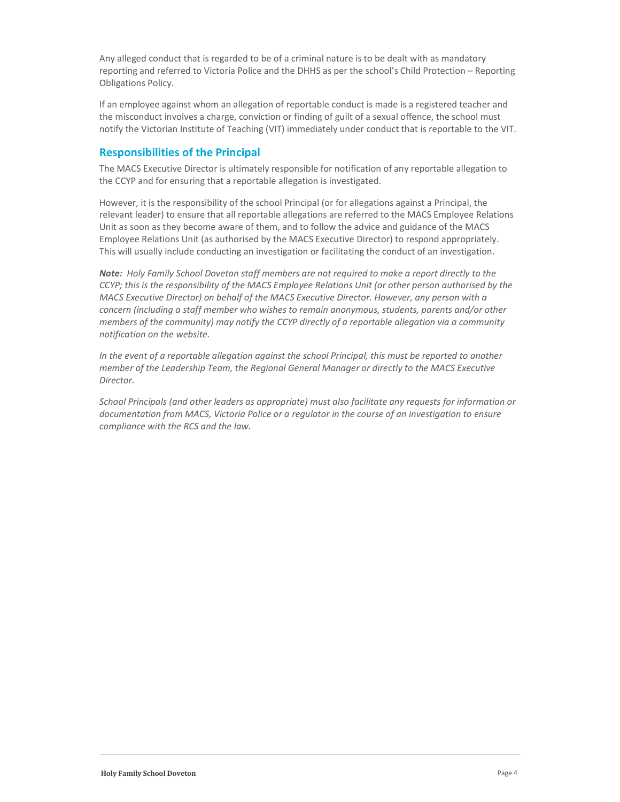Any alleged conduct that is regarded to be of a criminal nature is to be dealt with as mandatory reporting and referred to Victoria Police and the DHHS as per the school's Child Protection – Reporting Obligations Policy.

If an employee against whom an allegation of reportable conduct is made is a registered teacher and the misconduct involves a charge, conviction or finding of guilt of a sexual offence, the school must notify the Victorian Institute of Teaching (VIT) immediately under conduct that is reportable to the VIT.

## Responsibilities of the Principal

The MACS Executive Director is ultimately responsible for notification of any reportable allegation to the CCYP and for ensuring that a reportable allegation is investigated.

However, it is the responsibility of the school Principal (or for allegations against a Principal, the relevant leader) to ensure that all reportable allegations are referred to the MACS Employee Relations Unit as soon as they become aware of them, and to follow the advice and guidance of the MACS Employee Relations Unit (as authorised by the MACS Executive Director) to respond appropriately. This will usually include conducting an investigation or facilitating the conduct of an investigation.

Note: Holy Family School Doveton staff members are not required to make a report directly to the CCYP; this is the responsibility of the MACS Employee Relations Unit (or other person authorised by the MACS Executive Director) on behalf of the MACS Executive Director. However, any person with a concern (including a staff member who wishes to remain anonymous, students, parents and/or other members of the community) may notify the CCYP directly of a reportable allegation via a community notification on the website.

In the event of a reportable allegation against the school Principal, this must be reported to another member of the Leadership Team, the Regional General Manager or directly to the MACS Executive Director.

School Principals (and other leaders as appropriate) must also facilitate any requests for information or documentation from MACS, Victoria Police or a regulator in the course of an investigation to ensure compliance with the RCS and the law.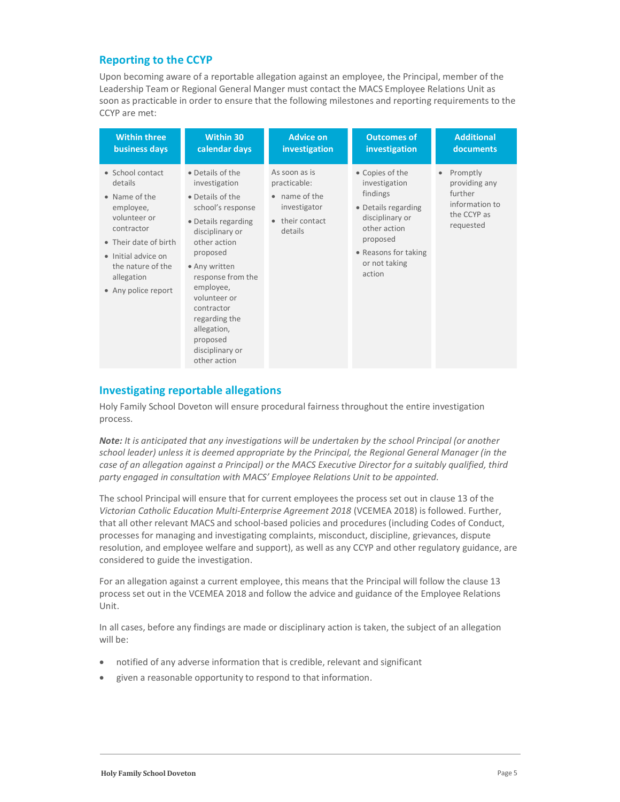### Reporting to the CCYP

Upon becoming aware of a reportable allegation against an employee, the Principal, member of the Leadership Team or Regional General Manger must contact the MACS Employee Relations Unit as soon as practicable in order to ensure that the following milestones and reporting requirements to the CCYP are met:

| <b>Within three</b>                                                                                                                                                                               | <b>Within 30</b>                                                                                                                                                                                                                                                                                                 | <b>Advice on</b>                                                                                        | <b>Outcomes of</b>                                                                                                                                                    | <b>Additional</b>                                                                               |
|---------------------------------------------------------------------------------------------------------------------------------------------------------------------------------------------------|------------------------------------------------------------------------------------------------------------------------------------------------------------------------------------------------------------------------------------------------------------------------------------------------------------------|---------------------------------------------------------------------------------------------------------|-----------------------------------------------------------------------------------------------------------------------------------------------------------------------|-------------------------------------------------------------------------------------------------|
| business days                                                                                                                                                                                     | calendar days                                                                                                                                                                                                                                                                                                    | investigation                                                                                           | investigation                                                                                                                                                         | documents                                                                                       |
| • School contact<br>details<br>• Name of the<br>employee,<br>volunteer or<br>contractor<br>• Their date of birth<br>• Initial advice on<br>the nature of the<br>allegation<br>• Any police report | • Details of the<br>investigation<br>• Details of the<br>school's response<br>• Details regarding<br>disciplinary or<br>other action<br>proposed<br>• Any written<br>response from the<br>employee,<br>volunteer or<br>contractor<br>regarding the<br>allegation,<br>proposed<br>disciplinary or<br>other action | As soon as is<br>practicable:<br>• name of the<br>investigator<br>their contact<br>$\bullet$<br>details | • Copies of the<br>investigation<br>findings<br>• Details regarding<br>disciplinary or<br>other action<br>proposed<br>• Reasons for taking<br>or not taking<br>action | Promptly<br>$\bullet$<br>providing any<br>further<br>information to<br>the CCYP as<br>requested |

# Investigating reportable allegations

Holy Family School Doveton will ensure procedural fairness throughout the entire investigation process.

Note: It is anticipated that any investigations will be undertaken by the school Principal (or another school leader) unless it is deemed appropriate by the Principal, the Regional General Manager (in the case of an allegation against a Principal) or the MACS Executive Director for a suitably qualified, third party engaged in consultation with MACS' Employee Relations Unit to be appointed.

The school Principal will ensure that for current employees the process set out in clause 13 of the Victorian Catholic Education Multi-Enterprise Agreement 2018 (VCEMEA 2018) is followed. Further, that all other relevant MACS and school-based policies and procedures (including Codes of Conduct, processes for managing and investigating complaints, misconduct, discipline, grievances, dispute resolution, and employee welfare and support), as well as any CCYP and other regulatory guidance, are considered to guide the investigation.

For an allegation against a current employee, this means that the Principal will follow the clause 13 process set out in the VCEMEA 2018 and follow the advice and guidance of the Employee Relations Unit.

In all cases, before any findings are made or disciplinary action is taken, the subject of an allegation will be:

- notified of any adverse information that is credible, relevant and significant
- given a reasonable opportunity to respond to that information.